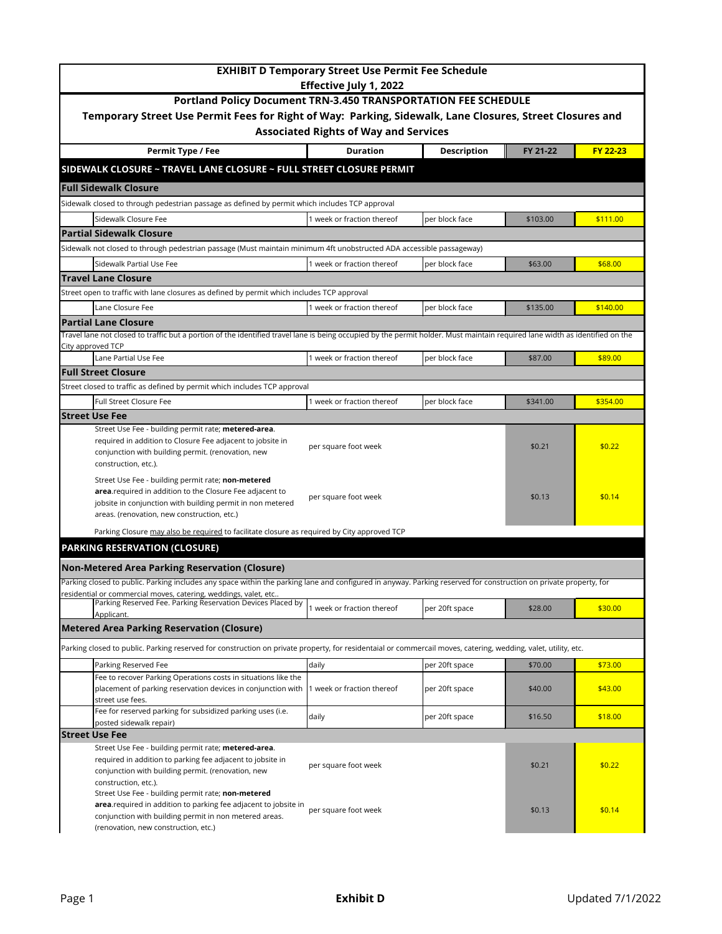| <b>EXHIBIT D Temporary Street Use Permit Fee Schedule</b><br><b>Effective July 1, 2022</b><br>Portland Policy Document TRN-3.450 TRANSPORTATION FEE SCHEDULE<br>Temporary Street Use Permit Fees for Right of Way: Parking, Sidewalk, Lane Closures, Street Closures and<br><b>Associated Rights of Way and Services</b> |                                                                                             |                |          |          |  |  |  |                                                                     |                 |                    |          |          |
|--------------------------------------------------------------------------------------------------------------------------------------------------------------------------------------------------------------------------------------------------------------------------------------------------------------------------|---------------------------------------------------------------------------------------------|----------------|----------|----------|--|--|--|---------------------------------------------------------------------|-----------------|--------------------|----------|----------|
|                                                                                                                                                                                                                                                                                                                          |                                                                                             |                |          |          |  |  |  | Permit Type / Fee                                                   | <b>Duration</b> | <b>Description</b> | FY 21-22 | FY 22-23 |
|                                                                                                                                                                                                                                                                                                                          |                                                                                             |                |          |          |  |  |  | SIDEWALK CLOSURE ~ TRAVEL LANE CLOSURE ~ FULL STREET CLOSURE PERMIT |                 |                    |          |          |
|                                                                                                                                                                                                                                                                                                                          |                                                                                             |                |          |          |  |  |  | <b>Full Sidewalk Closure</b>                                        |                 |                    |          |          |
| Sidewalk closed to through pedestrian passage as defined by permit which includes TCP approval                                                                                                                                                                                                                           |                                                                                             |                |          |          |  |  |  |                                                                     |                 |                    |          |          |
| Sidewalk Closure Fee                                                                                                                                                                                                                                                                                                     | 1 week or fraction thereof                                                                  | per block face | \$103.00 | \$111.00 |  |  |  |                                                                     |                 |                    |          |          |
| <b>Partial Sidewalk Closure</b>                                                                                                                                                                                                                                                                                          |                                                                                             |                |          |          |  |  |  |                                                                     |                 |                    |          |          |
| Sidewalk not closed to through pedestrian passage (Must maintain minimum 4ft unobstructed ADA accessible passageway)                                                                                                                                                                                                     |                                                                                             |                |          |          |  |  |  |                                                                     |                 |                    |          |          |
| Sidewalk Partial Use Fee                                                                                                                                                                                                                                                                                                 | 1 week or fraction thereof                                                                  | per block face | \$63.00  | \$68.00  |  |  |  |                                                                     |                 |                    |          |          |
| <b>Travel Lane Closure</b>                                                                                                                                                                                                                                                                                               |                                                                                             |                |          |          |  |  |  |                                                                     |                 |                    |          |          |
| Street open to traffic with lane closures as defined by permit which includes TCP approval                                                                                                                                                                                                                               |                                                                                             |                |          |          |  |  |  |                                                                     |                 |                    |          |          |
| Lane Closure Fee                                                                                                                                                                                                                                                                                                         | 1 week or fraction thereof                                                                  | per block face | \$135.00 | \$140.00 |  |  |  |                                                                     |                 |                    |          |          |
| <b>Partial Lane Closure</b>                                                                                                                                                                                                                                                                                              |                                                                                             |                |          |          |  |  |  |                                                                     |                 |                    |          |          |
| Travel lane not closed to traffic but a portion of the identified travel lane is being occupied by the permit holder. Must maintain required lane width as identified on the                                                                                                                                             |                                                                                             |                |          |          |  |  |  |                                                                     |                 |                    |          |          |
| City approved TCP                                                                                                                                                                                                                                                                                                        |                                                                                             |                |          |          |  |  |  |                                                                     |                 |                    |          |          |
| Lane Partial Use Fee                                                                                                                                                                                                                                                                                                     | 1 week or fraction thereof                                                                  | per block face | \$87.00  | \$89.00  |  |  |  |                                                                     |                 |                    |          |          |
| <b>Full Street Closure</b>                                                                                                                                                                                                                                                                                               |                                                                                             |                |          |          |  |  |  |                                                                     |                 |                    |          |          |
| Street closed to traffic as defined by permit which includes TCP approval                                                                                                                                                                                                                                                |                                                                                             |                |          |          |  |  |  |                                                                     |                 |                    |          |          |
| <b>Full Street Closure Fee</b>                                                                                                                                                                                                                                                                                           | 1 week or fraction thereof                                                                  | per block face | \$341.00 | \$354.00 |  |  |  |                                                                     |                 |                    |          |          |
| <b>Street Use Fee</b>                                                                                                                                                                                                                                                                                                    |                                                                                             |                |          |          |  |  |  |                                                                     |                 |                    |          |          |
| Street Use Fee - building permit rate; metered-area.<br>required in addition to Closure Fee adjacent to jobsite in<br>conjunction with building permit. (renovation, new<br>construction, etc.).                                                                                                                         | per square foot week                                                                        |                | \$0.21   | \$0.22   |  |  |  |                                                                     |                 |                    |          |          |
| Street Use Fee - building permit rate; non-metered<br>area.required in addition to the Closure Fee adjacent to<br>jobsite in conjunction with building permit in non metered<br>areas. (renovation, new construction, etc.)                                                                                              | per square foot week                                                                        |                | \$0.13   | \$0.14   |  |  |  |                                                                     |                 |                    |          |          |
|                                                                                                                                                                                                                                                                                                                          | Parking Closure may also be required to facilitate closure as required by City approved TCP |                |          |          |  |  |  |                                                                     |                 |                    |          |          |
| <b>PARKING RESERVATION (CLOSURE)</b>                                                                                                                                                                                                                                                                                     |                                                                                             |                |          |          |  |  |  |                                                                     |                 |                    |          |          |
|                                                                                                                                                                                                                                                                                                                          |                                                                                             |                |          |          |  |  |  |                                                                     |                 |                    |          |          |
| <b>Non-Metered Area Parking Reservation (Closure)</b>                                                                                                                                                                                                                                                                    |                                                                                             |                |          |          |  |  |  |                                                                     |                 |                    |          |          |
| Parking closed to public. Parking includes any space within the parking lane and configured in anyway. Parking reserved for construction on private property, for                                                                                                                                                        |                                                                                             |                |          |          |  |  |  |                                                                     |                 |                    |          |          |
| residential or commercial moves, catering, weddings, valet, etc<br>Parking Reserved Fee. Parking Reservation Devices Placed by                                                                                                                                                                                           |                                                                                             |                |          |          |  |  |  |                                                                     |                 |                    |          |          |
| Applicant.                                                                                                                                                                                                                                                                                                               | 1 week or fraction thereof                                                                  | per 20ft space | \$28.00  | \$30.00  |  |  |  |                                                                     |                 |                    |          |          |
| <b>Metered Area Parking Reservation (Closure)</b>                                                                                                                                                                                                                                                                        |                                                                                             |                |          |          |  |  |  |                                                                     |                 |                    |          |          |
| Parking closed to public. Parking reserved for construction on private property, for residentaial or commercail moves, catering, wedding, valet, utility, etc.                                                                                                                                                           |                                                                                             |                |          |          |  |  |  |                                                                     |                 |                    |          |          |
|                                                                                                                                                                                                                                                                                                                          |                                                                                             |                |          |          |  |  |  |                                                                     |                 |                    |          |          |
| Parking Reserved Fee<br>Fee to recover Parking Operations costs in situations like the                                                                                                                                                                                                                                   | daily                                                                                       | per 20ft space | \$70.00  | \$73.00  |  |  |  |                                                                     |                 |                    |          |          |
| placement of parking reservation devices in conjunction with<br>street use fees.                                                                                                                                                                                                                                         | week or fraction thereof                                                                    | per 20ft space | \$40.00  | \$43.00  |  |  |  |                                                                     |                 |                    |          |          |
| Fee for reserved parking for subsidized parking uses (i.e.<br>posted sidewalk repair)                                                                                                                                                                                                                                    | daily                                                                                       | per 20ft space | \$16.50  | \$18.00  |  |  |  |                                                                     |                 |                    |          |          |
| <b>Street Use Fee</b>                                                                                                                                                                                                                                                                                                    |                                                                                             |                |          |          |  |  |  |                                                                     |                 |                    |          |          |
| Street Use Fee - building permit rate; metered-area.<br>required in addition to parking fee adjacent to jobsite in<br>conjunction with building permit. (renovation, new<br>construction, etc.).<br>Street Use Fee - building permit rate; non-metered                                                                   | per square foot week                                                                        |                | \$0.21   | \$0.22   |  |  |  |                                                                     |                 |                    |          |          |
| area.required in addition to parking fee adjacent to jobsite in<br>conjunction with building permit in non metered areas.<br>(renovation, new construction, etc.)                                                                                                                                                        | per square foot week                                                                        |                | \$0.13   | \$0.14   |  |  |  |                                                                     |                 |                    |          |          |